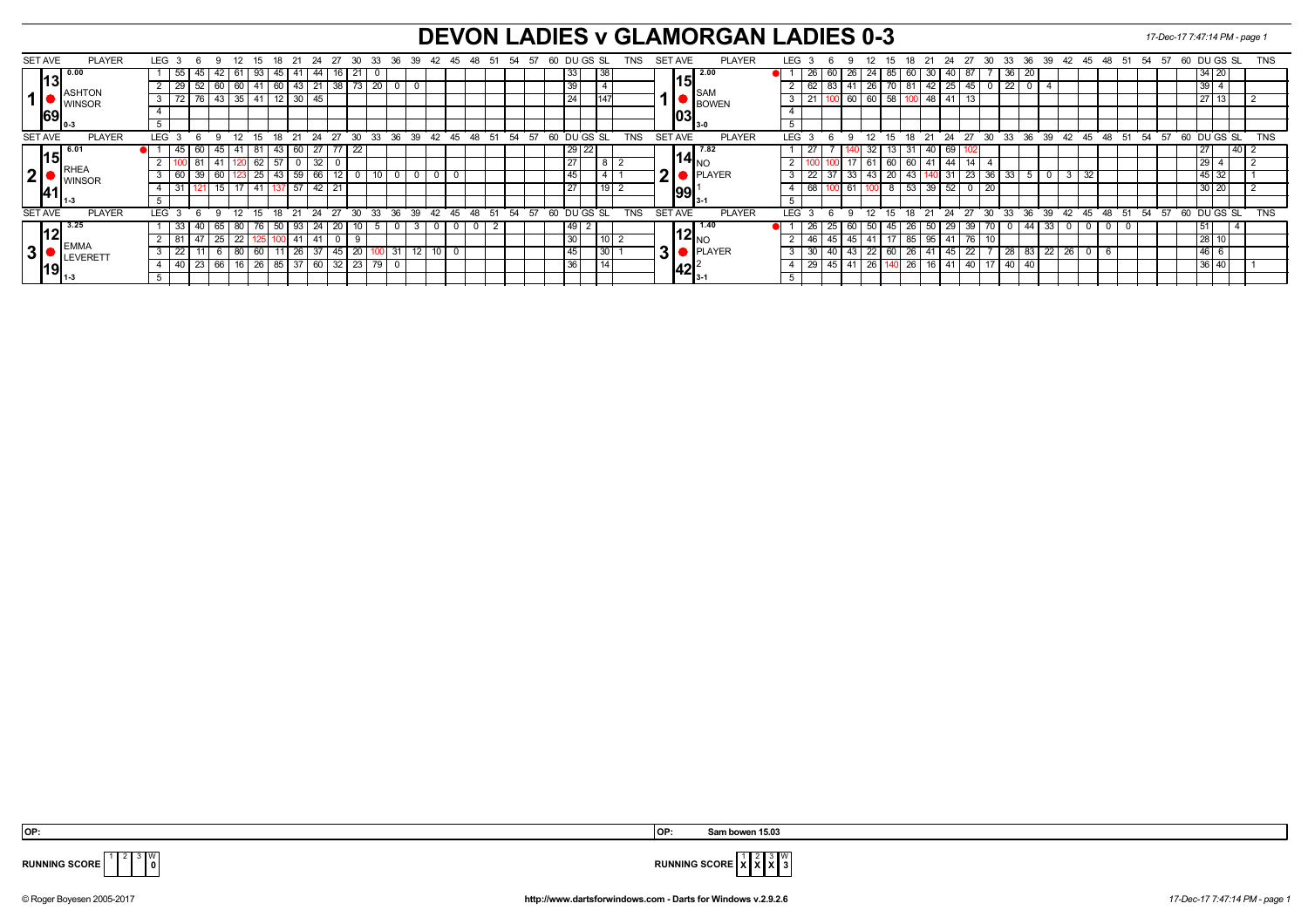## **DEVON LADIES v GLAMORGAN LADIES 0-3** *17-Dec-17 7:47:14 PM - page 1*

| <b>SET AVE</b>  | <b>PLAYER</b>    | LEG              |            |          |          | 12.              |        |       |                   | 24 | 27                |              | 30           | 33          | -36<br>-39 | 42 | 45            | -51<br>48 | -54<br>-57 | 60 DU GS SL |                 |                | <b>TNS</b> | SET AVE        |              |                                         | <b>PLAYER</b> | LEG.             |                   |    | 12                 | 15          |    |       | 24                          | 27              | -30          | 33                | 36<br>- 39 |             | 42 45 | -48   | -51 | 54 | - 57 | 60 DU GS SL |          |               | <b>TNS</b> |
|-----------------|------------------|------------------|------------|----------|----------|------------------|--------|-------|-------------------|----|-------------------|--------------|--------------|-------------|------------|----|---------------|-----------|------------|-------------|-----------------|----------------|------------|----------------|--------------|-----------------------------------------|---------------|------------------|-------------------|----|--------------------|-------------|----|-------|-----------------------------|-----------------|--------------|-------------------|------------|-------------|-------|-------|-----|----|------|-------------|----------|---------------|------------|
| 13 <sup>′</sup> | 0.00             |                  | 55         |          |          | 61               | 93     |       | 45 41             |    | 44 I              | 16 21        |              | $\mathbf 0$ |            |    |               |           |            |             | 33              | 38             |            |                |              | $\sqrt{2.00}$                           |               |                  | 26                | 60 | 26<br>24           | 85          | 60 |       | 30   40                     | 87              |              | 36 20             |            |             |       |       |     |    |      |             | 34 20    |               |            |
|                 | <b>ASHTON</b>    |                  | 29         | 52       |          | 60               |        |       | 60 43             | 21 | 38 <sup>1</sup>   |              | 73           | 20          |            |    |               |           |            |             | 39              |                |            |                | 151          | <b>SAM</b>                              |               |                  | 62                | 83 |                    | 26          | 81 |       | 42 25                       | 45              |              | 22                | 0          |             |       |       |     |    |      |             | 39       |               |            |
|                 | IWINSOR          |                  | 72         |          |          | 76 43 35         | ' 41 . |       | $12 \mid 30 \mid$ | 45 |                   |              |              |             |            |    |               |           |            |             | 24              | 147            |            |                |              | <b>BOWEN</b>                            |               | 3                |                   |    | 60                 | $60$ 58     |    |       | 48 41                       | 13              |              |                   |            |             |       |       |     |    |      |             | 27 13    |               |            |
| 69              |                  |                  |            |          |          |                  |        |       |                   |    |                   |              |              |             |            |    |               |           |            |             |                 |                |            |                | 03           |                                         |               |                  |                   |    |                    |             |    |       |                             |                 |              |                   |            |             |       |       |     |    |      |             |          |               |            |
|                 |                  |                  |            |          |          |                  |        |       |                   |    |                   |              |              |             |            |    |               |           |            |             |                 |                |            |                |              | I 3-0                                   |               |                  |                   |    |                    |             |    |       |                             |                 |              |                   |            |             |       |       |     |    |      |             |          |               |            |
| <b>SET AVE</b>  | <b>PLAYER</b>    | <b>LEG</b>       |            | <b>6</b> | $\alpha$ | 12               |        | ້ 18  | 21                | 24 | 27                |              | $30^{\circ}$ | 33          | 36 39      | 42 | $45 \quad 48$ | 51        | 54 57      | 60 DUGS SL  |                 |                | <b>TNS</b> | <b>SET AVE</b> |              |                                         | <b>PLAYER</b> | LEG <sup>®</sup> |                   |    | 12<br>$\mathbf{q}$ | $15-15$     | 18 | 21    | $24 \overline{\smash{)}27}$ |                 | 30           | $33^\circ$        |            | 36 39 42 45 |       | 48    | 51  | 54 | 57   | 60 DU GS SL |          |               | <b>TNS</b> |
|                 | 6.0 <sup>2</sup> |                  | $45 \vert$ |          | 60   45  | 41               | 81     |       |                   | 60 | $\sqrt{77}$       |              | 22           |             |            |    |               |           |            |             | $29$ 22         |                |            |                |              | 7.82                                    |               |                  |                   |    |                    | 32          | 31 |       | 40 69                       |                 |              |                   |            |             |       |       |     |    |      |             | 127      | $\sqrt{40}$ 2 |            |
| 15              | IWINSOR          |                  |            |          |          |                  | 62     |       | 0                 |    |                   |              |              |             |            |    |               |           |            |             | $\overline{27}$ |                |            |                |              | l14l. <sub>∿∩</sub>                     |               |                  |                   |    | 61                 | 60          | 60 | 41    | $\overline{1}$ 44           | 14              |              |                   |            |             |       |       |     |    |      |             | 29       |               |            |
| 2               |                  |                  | 60         |          |          |                  | 25     |       |                   | 59 | 66 I              |              | 0            |             |            |    |               |           |            |             | 45              |                |            | 21·            |              | <b>PLAYER</b>                           |               |                  | 22                |    | 33<br>43           | 20          |    | 43    |                             | 23              | 36           | 33                | 5          |             | 32    |       |     |    |      |             | $145$ 32 |               |            |
|                 |                  |                  |            |          | 15.      | 17               |        |       | $7\overline{57}$  |    | $\overline{42}$ l |              |              |             |            |    |               |           |            | 27          |                 | 19             |            |                |              | 99                                      |               |                  | 68                |    |                    |             | 53 |       | $39 \mid 52$                | 0               | 20           |                   |            |             |       |       |     |    |      |             | 30 20    |               |            |
|                 |                  |                  |            |          |          |                  |        |       |                   |    |                   |              |              |             |            |    |               |           |            |             |                 |                |            |                |              |                                         |               |                  |                   |    |                    |             |    |       |                             |                 |              |                   |            |             |       |       |     |    |      |             |          |               |            |
| <b>SET AVE</b>  | <b>PLAYER</b>    | LEG <sub>3</sub> |            |          |          | 12 <sup>12</sup> |        | 18    | 21                | 24 | 27                | $30^{\circ}$ |              | 33          | 36 39      | 42 | 45 48         | 51        | 54 57      | 60 DU GS SL |                 |                | <b>TNS</b> | <b>SET AVE</b> |              |                                         | <b>PLAYER</b> | <b>LEG</b>       |                   |    | 12<br>$\mathbf{q}$ | $15-15$     |    | 18 21 |                             | 24 27           | $30^{\circ}$ | 33 36 39 42 45    |            |             |       | $-48$ | 51  | 54 | 57   | 60 DU GS SL |          |               | <b>TNS</b> |
| 12              | 3.25             |                  | 33         |          | 65       | 80               |        | -50 I |                   | 93 | 24 20             |              | 10           | 5           |            |    | $\Omega$      |           |            |             | 49  <br>∠       |                |            |                |              |                                         |               |                  | 26                | 25 | 60                 | -50 I<br>45 | 26 | 50 I  | 29 I                        | 39              |              | $\overline{1}$ 44 | 33         |             | 0     |       |     |    |      |             | ו סו     |               |            |
|                 | <b>IEMMA</b>     |                  | 81         |          | 25       | $\overline{22}$  |        |       |                   | 41 |                   |              | 9            |             |            |    |               |           |            |             | 30              | $\overline{A}$ |            |                |              | $^{\prime}$ 12 $\vert_{\textrm{N}\cap}$ |               |                  | -46               | 45 | 45<br>-41          |             | 85 | 95 I  |                             | 76              |              |                   |            |             |       |       |     |    |      |             | 28 1     |               |            |
| 3 <sup>1</sup>  | LEVERET          |                  | 22         |          |          | 80               | -60    |       |                   | 26 | -45               |              | 20           |             |            |    |               |           |            |             | 45              | l 30 l         |            | 31             |              | <b>PLAYER</b>                           |               |                  | -30               |    | 43                 | 22<br>60    | 26 |       |                             | $\overline{22}$ |              | 28                | 83<br>22   | zn          |       |       |     |    |      |             | l 46 l   |               |            |
| 19              |                  |                  | 40         | دے       |          | 16               | 26     |       | $\sqrt{37}$       |    | 60 I              |              | 23           |             |            |    |               |           |            |             | 36              | 14             |            |                | $ 42 ^\circ$ |                                         |               |                  | $\overline{29}$ l | 45 | 26<br>41           |             | 26 |       | 16   41                     | 40              |              | -40               |            |             |       |       |     |    |      |             | 36 40    |               |            |
|                 |                  |                  |            |          |          |                  |        |       |                   |    |                   |              |              |             |            |    |               |           |            |             |                 |                |            |                |              |                                         |               |                  |                   |    |                    |             |    |       |                             |                 |              |                   |            |             |       |       |     |    |      |             |          |               |            |



 **OP: OP: Sam bowen 15.03**



© Roger Boyesen 2005-2017 **http://www.dartsforwindows.com - Darts for Windows v.2.9.2.6** *17-Dec-17 7:47:14 PM - page 1*